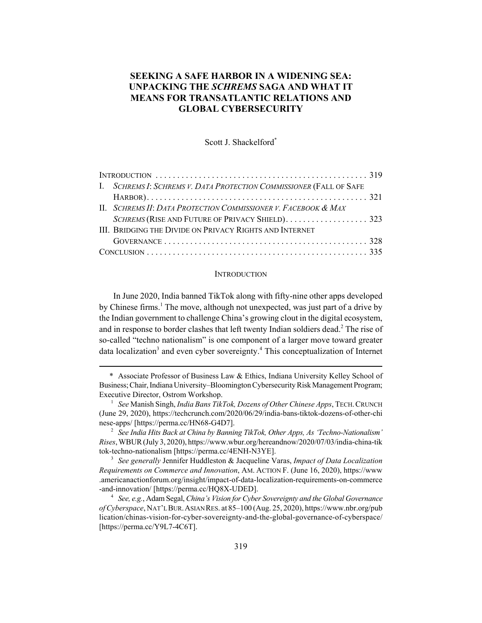# **SEEKING A SAFE HARBOR IN A WIDENING SEA: UNPACKING THE** *SCHREMS* **SAGA AND WHAT IT MEANS FOR TRANSATLANTIC RELATIONS AND GLOBAL CYBERSECURITY**

Scott J. Shackelford\*

| I. SCHREMS I: SCHREMS V. DATA PROTECTION COMMISSIONER (FALL OF SAFE |  |
|---------------------------------------------------------------------|--|
|                                                                     |  |
| II. SCHREMS II: DATA PROTECTION COMMISSIONER V. FACEBOOK & MAX      |  |
|                                                                     |  |
| III. BRIDGING THE DIVIDE ON PRIVACY RIGHTS AND INTERNET             |  |
|                                                                     |  |
|                                                                     |  |

#### **INTRODUCTION**

In June 2020, India banned TikTok along with fifty-nine other apps developed by Chinese firms.<sup>1</sup> The move, although not unexpected, was just part of a drive by the Indian government to challenge China's growing clout in the digital ecosystem, and in response to border clashes that left twenty Indian soldiers dead.<sup>2</sup> The rise of so-called "techno nationalism" is one component of a larger move toward greater data localization<sup>3</sup> and even cyber sovereignty.<sup>4</sup> This conceptualization of Internet

<sup>\*</sup> Associate Professor of Business Law & Ethics, Indiana University Kelley School of Business; Chair, Indiana University–Bloomington Cybersecurity Risk Management Program; Executive Director, Ostrom Workshop.

<sup>1</sup> *See* Manish Singh, *India Bans TikTok, Dozens of Other Chinese Apps*, TECH.CRUNCH (June 29, 2020), https://techcrunch.com/2020/06/29/india-bans-tiktok-dozens-of-other-chi nese-apps/ [https://perma.cc/HN68-G4D7].

<sup>2</sup> *See India Hits Back at China by Banning TikTok, Other Apps, As 'Techno-Nationalism' Rises*, WBUR (July 3, 2020), https://www.wbur.org/hereandnow/2020/07/03/india-china-tik tok-techno-nationalism [https://perma.cc/4ENH-N3YE].

<sup>3</sup> *See generally* Jennifer Huddleston & Jacqueline Varas, *Impact of Data Localization Requirements on Commerce and Innovation*, AM. ACTION F. (June 16, 2020), https://www .americanactionforum.org/insight/impact-of-data-localization-requirements-on-commerce -and-innovation/ [https://perma.cc/HQ8X-UDED].

<sup>4</sup> *See, e.g.*, Adam Segal, *China's Vision for Cyber Sovereignty and the Global Governance of Cyberspace*, NAT'L BUR.ASIAN RES. at 85–100 (Aug. 25, 2020), https://www.nbr.org/pub lication/chinas-vision-for-cyber-sovereignty-and-the-global-governance-of-cyberspace/ [https://perma.cc/Y9L7-4C6T].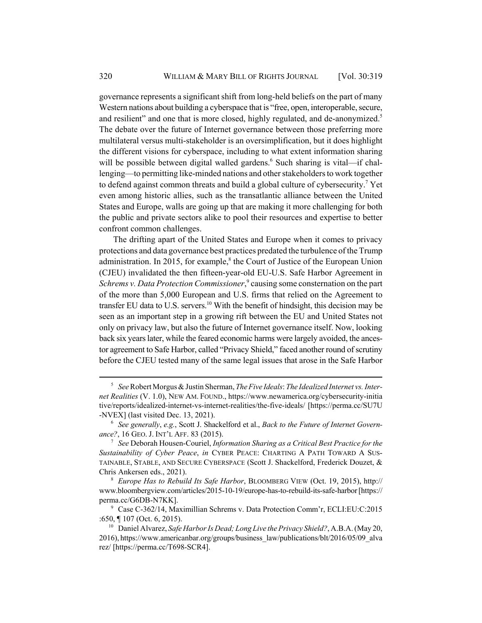governance represents a significant shift from long-held beliefs on the part of many Western nations about building a cyberspace that is "free, open, interoperable, secure, and resilient" and one that is more closed, highly regulated, and de-anonymized.<sup>5</sup> The debate over the future of Internet governance between those preferring more multilateral versus multi-stakeholder is an oversimplification, but it does highlight the different visions for cyberspace, including to what extent information sharing will be possible between digital walled gardens.<sup>6</sup> Such sharing is vital—if challenging—to permitting like-minded nations and other stakeholders to work together to defend against common threats and build a global culture of cybersecurity.<sup>7</sup> Yet even among historic allies, such as the transatlantic alliance between the United States and Europe, walls are going up that are making it more challenging for both the public and private sectors alike to pool their resources and expertise to better confront common challenges.

The drifting apart of the United States and Europe when it comes to privacy protections and data governance best practices predated the turbulence of the Trump administration. In 2015, for example,<sup>8</sup> the Court of Justice of the European Union (CJEU) invalidated the then fifteen-year-old EU-U.S. Safe Harbor Agreement in Schrems v. Data Protection Commissioner,<sup>9</sup> causing some consternation on the part of the more than 5,000 European and U.S. firms that relied on the Agreement to transfer EU data to U.S. servers.<sup>10</sup> With the benefit of hindsight, this decision may be seen as an important step in a growing rift between the EU and United States not only on privacy law, but also the future of Internet governance itself. Now, looking back six years later, while the feared economic harms were largely avoided, the ancestor agreement to Safe Harbor, called "Privacy Shield," faced another round of scrutiny before the CJEU tested many of the same legal issues that arose in the Safe Harbor

<sup>5</sup> *See* Robert Morgus & Justin Sherman, *The Five Ideals*: *The Idealized Internet vs. Internet Realities* (V. 1.0), NEW AM. FOUND., https://www.newamerica.org/cybersecurity-initia tive/reports/idealized-internet-vs-internet-realities/the-five-ideals/ [https://perma.cc/SU7U -NVEX] (last visited Dec. 13, 2021).

<sup>6</sup> *See generally*, *e.g.*, Scott J. Shackelford et al., *Back to the Future of Internet Governance?*, 16 GEO. J. INT'L AFF. 83 (2015).

<sup>7</sup> *See* Deborah Housen-Couriel, *Information Sharing as a Critical Best Practice for the Sustainability of Cyber Peace*, *in* CYBER PEACE: CHARTING A PATH TOWARD A SUS-TAINABLE, STABLE, AND SECURE CYBERSPACE (Scott J. Shackelford, Frederick Douzet, & Chris Ankersen eds., 2021).

<sup>8</sup> *Europe Has to Rebuild Its Safe Harbor*, BLOOMBERG VIEW (Oct. 19, 2015), http:// www.bloombergview.com/articles/2015-10-19/europe-has-to-rebuild-its-safe-harbor [https:// perma.cc/G6DB-N7KK].

<sup>9</sup> Case C-362/14, Maximillian Schrems v. Data Protection Comm'r, ECLI:EU:C:2015 :650, ¶ 107 (Oct. 6, 2015).

<sup>10</sup> Daniel Alvarez, *Safe Harbor Is Dead; Long Live the Privacy Shield?*, A.B.A. (May 20, 2016), https://www.americanbar.org/groups/business\_law/publications/blt/2016/05/09\_alva rez/ [https://perma.cc/T698-SCR4].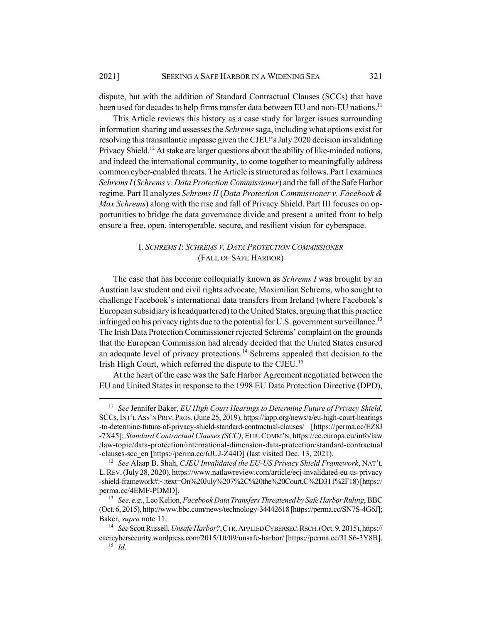dispute, but with the addition of Standard Contractual Clauses (SCCs) that have been used for decades to help firms transfer data between EU and non-EU nations.<sup>11</sup>

This Article reviews this history as a case study for larger issues surrounding information sharing and assesses the *Schrems* saga, including what options exist for resolving this transatlantic impasse given the CJEU's July 2020 decision invalidating Privacy Shield.<sup>12</sup> At stake are larger questions about the ability of like-minded nations, and indeed the international community, to come together to meaningfully address common cyber-enabled threats. The Article is structured as follows. Part I examines *Schrems I* (*Schrems v. Data Protection Commissioner*) and the fall of the Safe Harbor regime. Part II analyzes *Schrems II* (*Data Protection Commissioner v. Facebook & Max Schrems*) along with the rise and fall of Privacy Shield. Part III focuses on opportunities to bridge the data governance divide and present a united front to help ensure a free, open, interoperable, secure, and resilient vision for cyberspace.

## I. *SCHREMS I*: *SCHREMS V. DATA PROTECTION COMMISSIONER* (FALL OF SAFE HARBOR)

The case that has become colloquially known as *Schrems I* was brought by an Austrian law student and civil rights advocate, Maximilian Schrems, who sought to challenge Facebook's international data transfers from Ireland (where Facebook's European subsidiary is headquartered) to the United States, arguing that this practice infringed on his privacy rights due to the potential for U.S. government surveillance.<sup>13</sup> The Irish Data Protection Commissioner rejected Schrems' complaint on the grounds that the European Commission had already decided that the United States ensured an adequate level of privacy protections.<sup>14</sup> Schrems appealed that decision to the Irish High Court, which referred the dispute to the CJEU.15

At the heart of the case was the Safe Harbor Agreement negotiated between the EU and United States in response to the 1998 EU Data Protection Directive (DPD),

<sup>11</sup> *See* Jennifer Baker, *EU High Court Hearings to Determine Future of Privacy Shield*, SCCs, INT'L ASS'N PRIV.PROS.(June 25, 2019), https://iapp.org/news/a/eu-high-court-hearings -to-determine-future-of-privacy-shield-standard-contractual-clauses/ [https://perma.cc/EZ8J -7X45]; *Standard Contractual Clauses (SCC)*, EUR.COMM'N, https://ec.europa.eu/info/law /law-topic/data-protection/international-dimension-data-protection/standard-contractual -clauses-scc\_en [https://perma.cc/6JUJ-Z44D] (last visited Dec. 13, 2021).

<sup>12</sup> *See* Alaap B. Shah, *CJEU Invalidated the EU-US Privacy Shield Framework*, NAT'L L.REV. (July 28, 2020), https://www.natlawreview.com/article/ecj-invalidated-eu-us-privacy -shield-framework#:~:text=On%20July%207%2C%20the%20Court,C%2D311%2F18) [https:// perma.cc/4EMF-PDMD].

<sup>13</sup> *See, e.g.*, Leo Kelion, *Facebook Data Transfers Threatened by Safe Harbor Ruling*, BBC (Oct. 6, 2015), http://www.bbc.com/news/technology-34442618 [https://perma.cc/SN7S-4G6J]; Baker, *supra* note 11.

<sup>14</sup> *See* Scott Russell, *Unsafe Harbor?*,CTR.APPLIED CYBERSEC.RSCH.(Oct. 9, 2015), https:// cacrcybersecurity.wordpress.com/2015/10/09/unsafe-harbor/ [https://perma.cc/3LS6-3Y8B]. <sup>15</sup> *Id.*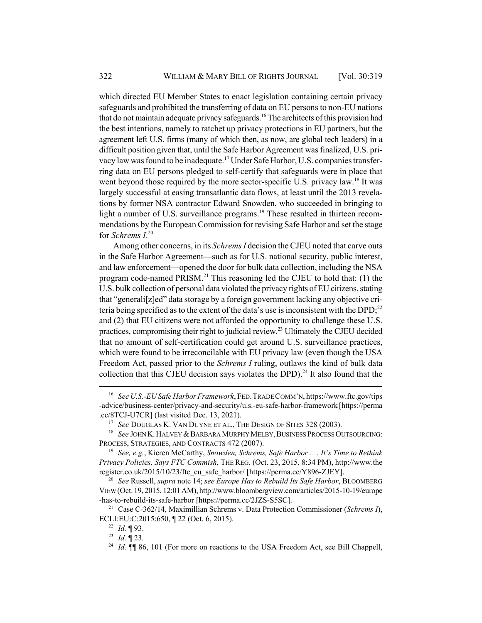which directed EU Member States to enact legislation containing certain privacy safeguards and prohibited the transferring of data on EU persons to non-EU nations that do not maintain adequate privacy safeguards.<sup>16</sup> The architects of this provision had the best intentions, namely to ratchet up privacy protections in EU partners, but the agreement left U.S. firms (many of which then, as now, are global tech leaders) in a difficult position given that, until the Safe Harbor Agreement was finalized, U.S. privacy law was found to be inadequate.17 Under Safe Harbor, U.S. companies transferring data on EU persons pledged to self-certify that safeguards were in place that went beyond those required by the more sector-specific U.S. privacy law.<sup>18</sup> It was largely successful at easing transatlantic data flows, at least until the 2013 revelations by former NSA contractor Edward Snowden, who succeeded in bringing to light a number of U.S. surveillance programs.<sup>19</sup> These resulted in thirteen recommendations by the European Commission for revising Safe Harbor and set the stage for *Schrems I*. 20

Among other concerns, in its *Schrems I* decision the CJEU noted that carve outs in the Safe Harbor Agreement—such as for U.S. national security, public interest, and law enforcement—opened the door for bulk data collection, including the NSA program code-named PRISM.<sup>21</sup> This reasoning led the CJEU to hold that:  $(1)$  the U.S. bulk collection of personal data violated the privacy rights of EU citizens, stating that "generali[z]ed" data storage by a foreign government lacking any objective criteria being specified as to the extent of the data's use is inconsistent with the DPD;<sup>22</sup> and (2) that EU citizens were not afforded the opportunity to challenge these U.S. practices, compromising their right to judicial review.<sup>23</sup> Ultimately the CJEU decided that no amount of self-certification could get around U.S. surveillance practices, which were found to be irreconcilable with EU privacy law (even though the USA Freedom Act, passed prior to the *Schrems I* ruling, outlaws the kind of bulk data collection that this CJEU decision says violates the DPD).<sup>24</sup> It also found that the

<sup>16</sup> *See U.S.-EU Safe Harbor Framework*, FED.TRADE COMM'N, https://www.ftc.gov/tips -advice/business-center/privacy-and-security/u.s.-eu-safe-harbor-framework [https://perma .cc/8TCJ-U7CR] (last visited Dec. 13, 2021).

<sup>&</sup>lt;sup>17</sup> See DOUGLAS K. VAN DUYNE ET AL., THE DESIGN OF SITES 328 (2003).

<sup>&</sup>lt;sup>18</sup> *See JOHN K. HALVEY & BARBARA MURPHY MELBY, BUSINESS PROCESS OUTSOURCING:* PROCESS, STRATEGIES, AND CONTRACTS 472 (2007).

<sup>19</sup> *See, e.g.*, Kieren McCarthy, *Snowden, Schrems, Safe Harbor . . . It's Time to Rethink Privacy Policies, Says FTC Commish*, THE REG. (Oct. 23, 2015, 8:34 PM), http://www.the register.co.uk/2015/10/23/ftc\_eu\_safe\_harbor/ [https://perma.cc/Y896-ZJEY].

<sup>20</sup> *See* Russell, *supra* note 14; *see Europe Has to Rebuild Its Safe Harbor*, BLOOMBERG VIEW (Oct. 19, 2015, 12:01 AM), http://www.bloombergview.com/articles/2015-10-19/europe -has-to-rebuild-its-safe-harbor [https://perma.cc/2JZS-S5SC].

<sup>21</sup> Case C-362/14, Maximillian Schrems v. Data Protection Commissioner (*Schrems I*), ECLI:EU:C:2015:650, ¶ 22 (Oct. 6, 2015).

<sup>22</sup> *Id.* ¶ 93.

<sup>23</sup> *Id.* ¶ 23.

<sup>&</sup>lt;sup>24</sup> *Id.*  $\P$  86, 101 (For more on reactions to the USA Freedom Act, see Bill Chappell,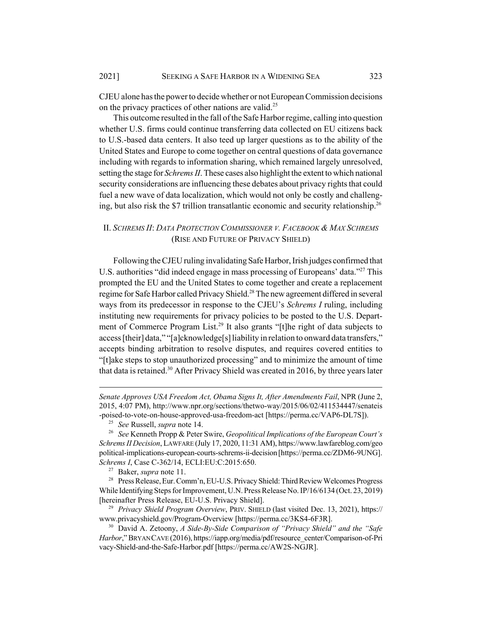CJEU alone has the power to decide whether or not European Commission decisions on the privacy practices of other nations are valid.<sup>25</sup>

This outcome resulted in the fall of the Safe Harbor regime, calling into question whether U.S. firms could continue transferring data collected on EU citizens back to U.S.-based data centers. It also teed up larger questions as to the ability of the United States and Europe to come together on central questions of data governance including with regards to information sharing, which remained largely unresolved, setting the stage for *Schrems II*. These cases also highlight the extent to which national security considerations are influencing these debates about privacy rights that could fuel a new wave of data localization, which would not only be costly and challenging, but also risk the \$7 trillion transatlantic economic and security relationship.<sup>26</sup>

## II. *SCHREMS II*: *DATA PROTECTION COMMISSIONER V. FACEBOOK & MAX SCHREMS* (RISE AND FUTURE OF PRIVACY SHIELD)

Following the CJEU ruling invalidating Safe Harbor, Irish judges confirmed that U.S. authorities "did indeed engage in mass processing of Europeans' data."<sup>27</sup> This prompted the EU and the United States to come together and create a replacement regime for Safe Harbor called Privacy Shield.<sup>28</sup> The new agreement differed in several ways from its predecessor in response to the CJEU's *Schrems I* ruling, including instituting new requirements for privacy policies to be posted to the U.S. Department of Commerce Program List.<sup>29</sup> It also grants "[t]he right of data subjects to access [their] data," "[a]cknowledge[s] liability in relation to onward data transfers," accepts binding arbitration to resolve disputes, and requires covered entities to "[t]ake steps to stop unauthorized processing" and to minimize the amount of time that data is retained.<sup>30</sup> After Privacy Shield was created in 2016, by three years later

*Senate Approves USA Freedom Act, Obama Signs It, After Amendments Fail*, NPR (June 2, 2015, 4:07 PM), http://www.npr.org/sections/thetwo-way/2015/06/02/411534447/senateis -poised-to-vote-on-house-approved-usa-freedom-act [https://perma.cc/VAP6-DL7S]).

<sup>25</sup> *See* Russell, *supra* note 14.

<sup>26</sup> *See* Kenneth Propp & Peter Swire, *Geopolitical Implications of the European Court's Schrems II Decision*, LAWFARE (July 17, 2020, 11:31 AM), https://www.lawfareblog.com/geo political-implications-european-courts-schrems-ii-decision [https://perma.cc/ZDM6-9UNG]. *Schrems I*, Case C-362/14, ECLI:EU:C:2015:650.

<sup>27</sup> Baker, *supra* note 11.

<sup>28</sup> Press Release, Eur. Comm'n, EU-U.S. Privacy Shield: Third Review Welcomes Progress While Identifying Steps for Improvement, U.N. Press Release No. IP/16/6134 (Oct. 23, 2019) [hereinafter Press Release, EU-U.S. Privacy Shield].

<sup>29</sup> *Privacy Shield Program Overview*, PRIV. SHIELD (last visited Dec. 13, 2021), https:// www.privacyshield.gov/Program-Overview [https://perma.cc/3KS4-6F3R].

<sup>30</sup> David A. Zetoony, *A Side-By-Side Comparison of "Privacy Shield" and the "Safe Harbor*," BRYAN CAVE (2016), https://iapp.org/media/pdf/resource\_center/Comparison-of-Pri vacy-Shield-and-the-Safe-Harbor.pdf [https://perma.cc/AW2S-NGJR].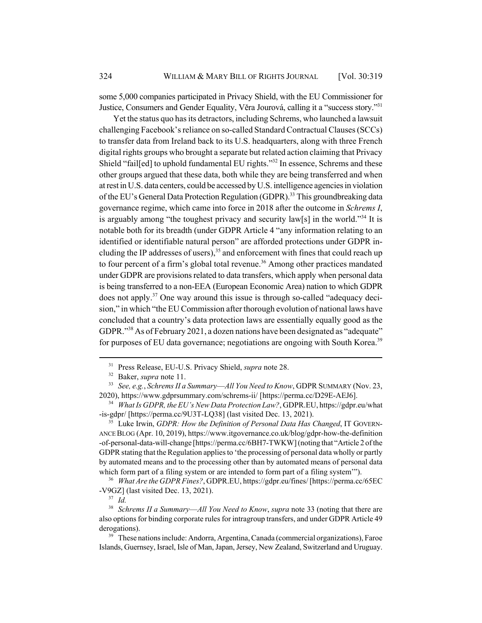some 5,000 companies participated in Privacy Shield, with the EU Commissioner for Justice, Consumers and Gender Equality, Věra Jourová, calling it a "success story."31

Yet the status quo has its detractors, including Schrems, who launched a lawsuit challenging Facebook's reliance on so-called Standard Contractual Clauses (SCCs) to transfer data from Ireland back to its U.S. headquarters, along with three French digital rights groups who brought a separate but related action claiming that Privacy Shield "fail[ed] to uphold fundamental EU rights."32 In essence, Schrems and these other groups argued that these data, both while they are being transferred and when at rest in U.S. data centers, could be accessed by U.S. intelligence agencies in violation of the EU's General Data Protection Regulation (GDPR).<sup>33</sup> This groundbreaking data governance regime, which came into force in 2018 after the outcome in *Schrems I*, is arguably among "the toughest privacy and security  $\text{law}[s]$  in the world."<sup>34</sup> It is notable both for its breadth (under GDPR Article 4 "any information relating to an identified or identifiable natural person" are afforded protections under GDPR including the IP addresses of users),<sup>35</sup> and enforcement with fines that could reach up to four percent of a firm's global total revenue.<sup>36</sup> Among other practices mandated under GDPR are provisions related to data transfers, which apply when personal data is being transferred to a non-EEA (European Economic Area) nation to which GDPR does not apply.37 One way around this issue is through so-called "adequacy decision," in which "the EU Commission after thorough evolution of national laws have concluded that a country's data protection laws are essentially equally good as the GDPR."38 As of February 2021, a dozen nations have been designated as "adequate" for purposes of EU data governance; negotiations are ongoing with South Korea.<sup>39</sup>

<sup>35</sup> Luke Irwin, *GDPR: How the Definition of Personal Data Has Changed*, IT GOVERN-ANCE BLOG (Apr. 10, 2019), https://www.itgovernance.co.uk/blog/gdpr-how-the-definition -of-personal-data-will-change [https://perma.cc/6BH7-TWKW] (noting that "Article 2 of the GDPR stating that the Regulation applies to 'the processing of personal data wholly or partly by automated means and to the processing other than by automated means of personal data which form part of a filing system or are intended to form part of a filing system'").

<sup>36</sup> *What Are the GDPR Fines?*, GDPR.EU, https://gdpr.eu/fines/ [https://perma.cc/65EC -V9GZ] (last visited Dec. 13, 2021).

<sup>38</sup> *Schrems II a Summary*—*All You Need to Know*, *supra* note 33 (noting that there are also options for binding corporate rules for intragroup transfers, and under GDPR Article 49 derogations).

<sup>39</sup> These nations include: Andorra, Argentina, Canada (commercial organizations), Faroe Islands, Guernsey, Israel, Isle of Man, Japan, Jersey, New Zealand, Switzerland and Uruguay.

<sup>31</sup> Press Release, EU-U.S. Privacy Shield, *supra* note 28.

<sup>32</sup> Baker, *supra* note 11.

<sup>33</sup> *See, e.g.*, *Schrems II a Summary*—*All You Need to Know*, GDPR SUMMARY (Nov. 23, 2020), https://www.gdprsummary.com/schrems-ii/ [https://perma.cc/D29E-AEJ6].

<sup>34</sup> *What Is GDPR, the EU's New Data Protection Law?*, GDPR.EU, https://gdpr.eu/what -is-gdpr/ [https://perma.cc/9U3T-LQ38] (last visited Dec. 13, 2021).

<sup>37</sup> *Id.*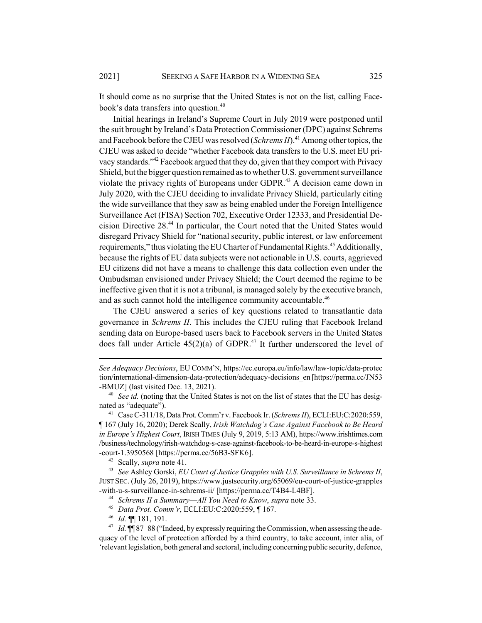It should come as no surprise that the United States is not on the list, calling Facebook's data transfers into question.<sup>40</sup>

Initial hearings in Ireland's Supreme Court in July 2019 were postponed until the suit brought by Ireland's Data Protection Commissioner (DPC) against Schrems and Facebook before the CJEU was resolved (*Schrems II*).<sup>41</sup> Among other topics, the CJEU was asked to decide "whether Facebook data transfers to the U.S. meet EU privacy standards."<sup>42</sup> Facebook argued that they do, given that they comport with Privacy Shield, but the bigger question remained as to whether U.S. government surveillance violate the privacy rights of Europeans under GDPR.<sup>43</sup> A decision came down in July 2020, with the CJEU deciding to invalidate Privacy Shield, particularly citing the wide surveillance that they saw as being enabled under the Foreign Intelligence Surveillance Act (FISA) Section 702, Executive Order 12333, and Presidential Decision Directive 28.44 In particular, the Court noted that the United States would disregard Privacy Shield for "national security, public interest, or law enforcement requirements," thus violating the EU Charter of Fundamental Rights.<sup>45</sup> Additionally, because the rights of EU data subjects were not actionable in U.S. courts, aggrieved EU citizens did not have a means to challenge this data collection even under the Ombudsman envisioned under Privacy Shield; the Court deemed the regime to be ineffective given that it is not a tribunal, is managed solely by the executive branch, and as such cannot hold the intelligence community accountable.<sup>46</sup>

The CJEU answered a series of key questions related to transatlantic data governance in *Schrems II*. This includes the CJEU ruling that Facebook Ireland sending data on Europe-based users back to Facebook servers in the United States does fall under Article  $45(2)(a)$  of GDPR.<sup>47</sup> It further underscored the level of

<sup>42</sup> Scally, *supra* note 41.

<sup>43</sup> *See* Ashley Gorski, *EU Court of Justice Grapples with U.S. Surveillance in Schrems II*, JUST SEC. (July 26, 2019), https://www.justsecurity.org/65069/eu-court-of-justice-grapples -with-u-s-surveillance-in-schrems-ii/ [https://perma.cc/T4B4-L4BF].

<sup>44</sup> *Schrems II a Summary*—*All You Need to Know*, *supra* note 33.

<sup>45</sup> *Data Prot. Comm'r*, ECLI:EU:C:2020:559, ¶ 167.

<sup>46</sup> *Id.* ¶¶ 181, 191.

*See Adequacy Decisions*, EU COMM'N, https://ec.europa.eu/info/law/law-topic/data-protec tion/international-dimension-data-protection/adequacy-decisions\_en [https://perma.cc/JN53 -BMUZ] (last visited Dec. 13, 2021).

<sup>&</sup>lt;sup>40</sup> *See id.* (noting that the United States is not on the list of states that the EU has designated as "adequate").

<sup>41</sup> Case C-311/18, Data Prot. Comm'r v. Facebook Ir. (*Schrems II*), ECLI:EU:C:2020:559, ¶ 167 (July 16, 2020); Derek Scally, *Irish Watchdog's Case Against Facebook to Be Heard in Europe's Highest Court*, IRISH TIMES (July 9, 2019, 5:13 AM), https://www.irishtimes.com /business/technology/irish-watchdog-s-case-against-facebook-to-be-heard-in-europe-s-highest -court-1.3950568 [https://perma.cc/56B3-SFK6].

<sup>&</sup>lt;sup>47</sup> *Id.* ¶¶ 87–88 ("Indeed, by expressly requiring the Commission, when assessing the adequacy of the level of protection afforded by a third country, to take account, inter alia, of 'relevant legislation, both general and sectoral, including concerning public security, defence,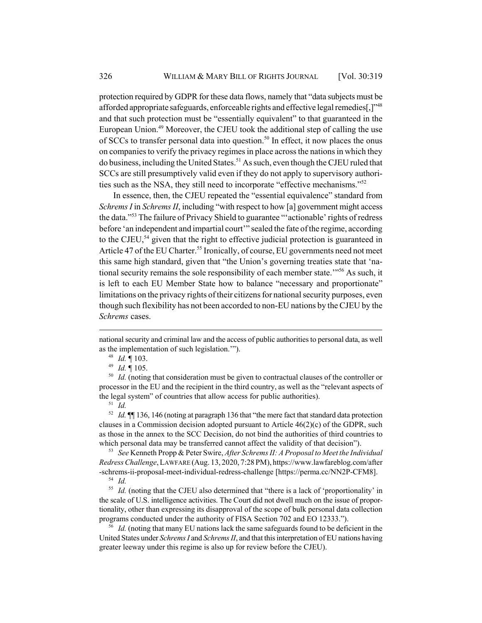protection required by GDPR for these data flows, namely that "data subjects must be afforded appropriate safeguards, enforceable rights and effective legal remedies[,]"48 and that such protection must be "essentially equivalent" to that guaranteed in the European Union.<sup>49</sup> Moreover, the CJEU took the additional step of calling the use of SCCs to transfer personal data into question.<sup>50</sup> In effect, it now places the onus on companies to verify the privacy regimes in place across the nations in which they do business, including the United States.<sup>51</sup> As such, even though the CJEU ruled that SCCs are still presumptively valid even if they do not apply to supervisory authorities such as the NSA, they still need to incorporate "effective mechanisms."52

In essence, then, the CJEU repeated the "essential equivalence" standard from *Schrems I* in *Schrems II*, including "with respect to how [a] government might access the data."53 The failure of Privacy Shield to guarantee "'actionable' rights of redress before 'an independent and impartial court'" sealed the fate of the regime, according to the CJEU,<sup>54</sup> given that the right to effective judicial protection is guaranteed in Article 47 of the EU Charter.<sup>55</sup> Ironically, of course, EU governments need not meet this same high standard, given that "the Union's governing treaties state that 'national security remains the sole responsibility of each member state.'"<sup>56</sup> As such, it is left to each EU Member State how to balance "necessary and proportionate" limitations on the privacy rights of their citizens for national security purposes, even though such flexibility has not been accorded to non-EU nations by the CJEU by the *Schrems* cases.

<sup>50</sup> *Id.* (noting that consideration must be given to contractual clauses of the controller or processor in the EU and the recipient in the third country, as well as the "relevant aspects of the legal system" of countries that allow access for public authorities).

<sup>51</sup> *Id.*

<sup>52</sup> *Id.* ¶¶ 136, 146 (noting at paragraph 136 that "the mere fact that standard data protection clauses in a Commission decision adopted pursuant to Article 46(2)(c) of the GDPR, such as those in the annex to the SCC Decision, do not bind the authorities of third countries to which personal data may be transferred cannot affect the validity of that decision").

<sup>53</sup> *See* Kenneth Propp & Peter Swire, *After Schrems II: A Proposal to Meet the Individual Redress Challenge*, LAWFARE (Aug. 13, 2020, 7:28 PM), https://www.lawfareblog.com/after -schrems-ii-proposal-meet-individual-redress-challenge [https://perma.cc/NN2P-CFM8]. <sup>54</sup> *Id.*

<sup>55</sup> *Id.* (noting that the CJEU also determined that "there is a lack of 'proportionality' in the scale of U.S. intelligence activities. The Court did not dwell much on the issue of proportionality, other than expressing its disapproval of the scope of bulk personal data collection programs conducted under the authority of FISA Section 702 and EO 12333.").

<sup>56</sup> *Id.* (noting that many EU nations lack the same safeguards found to be deficient in the United States under *Schrems I* and *Schrems II*, and that this interpretation of EU nations having greater leeway under this regime is also up for review before the CJEU).

national security and criminal law and the access of public authorities to personal data, as well as the implementation of such legislation.'").

<sup>48</sup> *Id.* ¶ 103.

<sup>49</sup> *Id.* ¶ 105.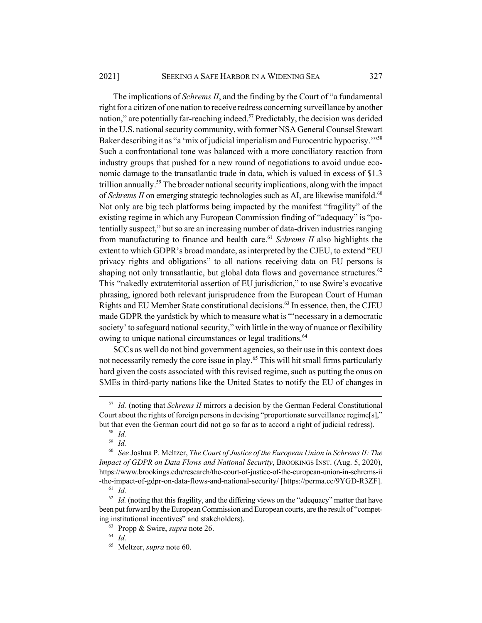#### 2021] SEEKING A SAFE HARBOR IN A WIDENING SEA 327

The implications of *Schrems II*, and the finding by the Court of "a fundamental right for a citizen of one nation to receive redress concerning surveillance by another nation," are potentially far-reaching indeed.<sup>57</sup> Predictably, the decision was derided in the U.S. national security community, with former NSA General Counsel Stewart Baker describing it as "a 'mix of judicial imperialism and Eurocentric hypocrisy.<sup>"58</sup> Such a confrontational tone was balanced with a more conciliatory reaction from industry groups that pushed for a new round of negotiations to avoid undue economic damage to the transatlantic trade in data, which is valued in excess of \$1.3 trillion annually.59 The broader national security implications, along with the impact of *Schrems II* on emerging strategic technologies such as AI, are likewise manifold.<sup>60</sup> Not only are big tech platforms being impacted by the manifest "fragility" of the existing regime in which any European Commission finding of "adequacy" is "potentially suspect," but so are an increasing number of data-driven industries ranging from manufacturing to finance and health care.<sup>61</sup> *Schrems II* also highlights the extent to which GDPR's broad mandate, as interpreted by the CJEU, to extend "EU privacy rights and obligations" to all nations receiving data on EU persons is shaping not only transatlantic, but global data flows and governance structures.<sup>62</sup> This "nakedly extraterritorial assertion of EU jurisdiction," to use Swire's evocative phrasing, ignored both relevant jurisprudence from the European Court of Human Rights and EU Member State constitutional decisions.<sup>63</sup> In essence, then, the CJEU made GDPR the yardstick by which to measure what is "'necessary in a democratic society' to safeguard national security," with little in the way of nuance or flexibility owing to unique national circumstances or legal traditions.<sup>64</sup>

SCCs as well do not bind government agencies, so their use in this context does not necessarily remedy the core issue in play.<sup>65</sup> This will hit small firms particularly hard given the costs associated with this revised regime, such as putting the onus on SMEs in third-party nations like the United States to notify the EU of changes in

<sup>57</sup> *Id.* (noting that *Schrems II* mirrors a decision by the German Federal Constitutional Court about the rights of foreign persons in devising "proportionate surveillance regime[s]," but that even the German court did not go so far as to accord a right of judicial redress).

<sup>58</sup> *Id.*

<sup>59</sup> *Id.*

<sup>60</sup> *See* Joshua P. Meltzer, *The Court of Justice of the European Union in Schrems II: The Impact of GDPR on Data Flows and National Security*, BROOKINGS INST. (Aug. 5, 2020), https://www.brookings.edu/research/the-court-of-justice-of-the-european-union-in-schrems-ii -the-impact-of-gdpr-on-data-flows-and-national-security/ [https://perma.cc/9YGD-R3ZF].

<sup>61</sup> *Id.*

 $62$  *Id.* (noting that this fragility, and the differing views on the "adequacy" matter that have been put forward by the European Commission and European courts, are the result of "competing institutional incentives" and stakeholders).

<sup>63</sup> Propp & Swire, *supra* note 26.

<sup>64</sup> *Id.*

<sup>65</sup> Meltzer, *supra* note 60.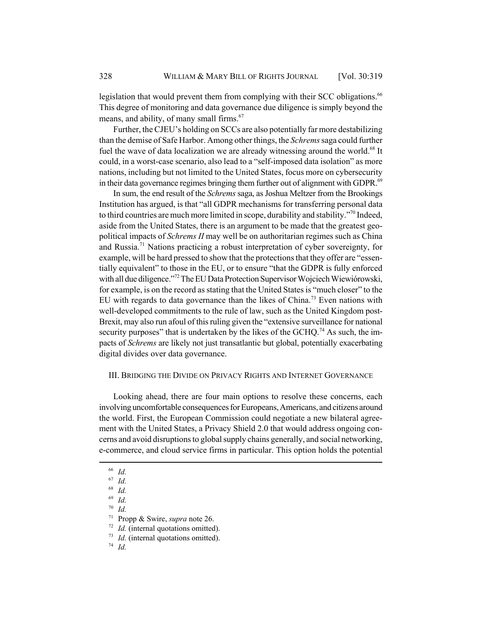legislation that would prevent them from complying with their SCC obligations.<sup>66</sup> This degree of monitoring and data governance due diligence is simply beyond the means, and ability, of many small firms.<sup>67</sup>

Further, the CJEU's holding on SCCs are also potentially far more destabilizing than the demise of Safe Harbor. Among other things, the *Schrems* saga could further fuel the wave of data localization we are already witnessing around the world.<sup>68</sup> It could, in a worst-case scenario, also lead to a "self-imposed data isolation" as more nations, including but not limited to the United States, focus more on cybersecurity in their data governance regimes bringing them further out of alignment with GDPR.<sup>69</sup>

In sum, the end result of the *Schrems* saga, as Joshua Meltzer from the Brookings Institution has argued, is that "all GDPR mechanisms for transferring personal data to third countries are much more limited in scope, durability and stability."<sup>70</sup> Indeed, aside from the United States, there is an argument to be made that the greatest geopolitical impacts of *Schrems II* may well be on authoritarian regimes such as China and Russia.<sup>71</sup> Nations practicing a robust interpretation of cyber sovereignty, for example, will be hard pressed to show that the protections that they offer are "essentially equivalent" to those in the EU, or to ensure "that the GDPR is fully enforced with all due diligence."<sup>72</sup> The EU Data Protection Supervisor Wojciech Wiewiórowski, for example, is on the record as stating that the United States is "much closer" to the EU with regards to data governance than the likes of China.<sup>73</sup> Even nations with well-developed commitments to the rule of law, such as the United Kingdom post-Brexit, may also run afoul of this ruling given the "extensive surveillance for national security purposes" that is undertaken by the likes of the GCHQ.<sup>74</sup> As such, the impacts of *Schrems* are likely not just transatlantic but global, potentially exacerbating digital divides over data governance.

### III. BRIDGING THE DIVIDE ON PRIVACY RIGHTS AND INTERNET GOVERNANCE

Looking ahead, there are four main options to resolve these concerns, each involving uncomfortable consequences for Europeans, Americans, and citizens around the world. First, the European Commission could negotiate a new bilateral agreement with the United States, a Privacy Shield 2.0 that would address ongoing concerns and avoid disruptions to global supply chains generally, and social networking, e-commerce, and cloud service firms in particular. This option holds the potential

<sup>70</sup> *Id.*

<sup>74</sup> *Id.*

<sup>66</sup> *Id.*

<sup>67</sup> *Id.*

<sup>68</sup> *Id.*

<sup>69</sup> *Id.*

<sup>71</sup> Propp & Swire, *supra* note 26.

<sup>72</sup> *Id.* (internal quotations omitted).

<sup>73</sup> *Id.* (internal quotations omitted).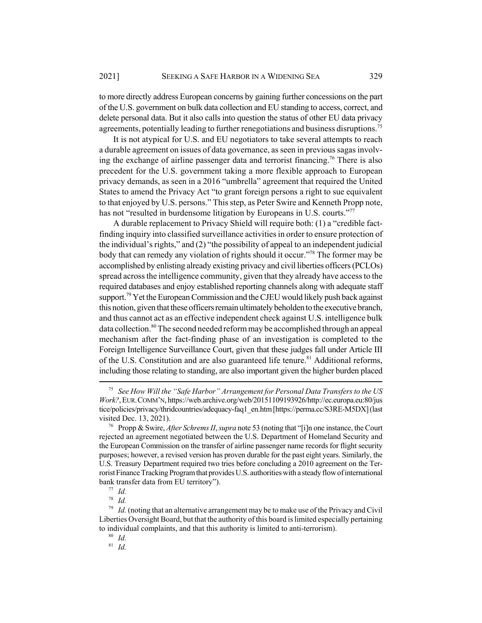to more directly address European concerns by gaining further concessions on the part of the U.S. government on bulk data collection and EU standing to access, correct, and delete personal data. But it also calls into question the status of other EU data privacy agreements, potentially leading to further renegotiations and business disruptions.<sup>75</sup>

It is not atypical for U.S. and EU negotiators to take several attempts to reach a durable agreement on issues of data governance, as seen in previous sagas involving the exchange of airline passenger data and terrorist financing.<sup>76</sup> There is also precedent for the U.S. government taking a more flexible approach to European privacy demands, as seen in a 2016 "umbrella" agreement that required the United States to amend the Privacy Act "to grant foreign persons a right to sue equivalent to that enjoyed by U.S. persons." This step, as Peter Swire and Kenneth Propp note, has not "resulted in burdensome litigation by Europeans in U.S. courts."<sup>77</sup>

A durable replacement to Privacy Shield will require both: (1) a "credible factfinding inquiry into classified surveillance activities in order to ensure protection of the individual's rights," and (2) "the possibility of appeal to an independent judicial body that can remedy any violation of rights should it occur."<sup>78</sup> The former may be accomplished by enlisting already existing privacy and civil liberties officers (PCLOs) spread across the intelligence community, given that they already have access to the required databases and enjoy established reporting channels along with adequate staff support.<sup>79</sup> Yet the European Commission and the CJEU would likely push back against this notion, given that these officers remain ultimately beholden to the executive branch, and thus cannot act as an effective independent check against U.S. intelligence bulk data collection.<sup>80</sup> The second needed reform may be accomplished through an appeal mechanism after the fact-finding phase of an investigation is completed to the Foreign Intelligence Surveillance Court, given that these judges fall under Article III of the U.S. Constitution and are also guaranteed life tenure.<sup>81</sup> Additional reforms, including those relating to standing, are also important given the higher burden placed

*Id.* 

<sup>81</sup> *Id.*

<sup>75</sup> *See How Will the "Safe Harbor" Arrangement for Personal Data Transfers to the US Work?*, EUR.COMM'N, https://web.archive.org/web/20151109193926/http://ec.europa.eu:80/jus tice/policies/privacy/thridcountries/adequacy-faq1\_en.htm [https://perma.cc/S3RE-M5DX] (last visited Dec. 13, 2021).

<sup>76</sup> Propp & Swire, *After Schrems II*, *supra* note 53 (noting that "[i]n one instance, the Court rejected an agreement negotiated between the U.S. Department of Homeland Security and the European Commission on the transfer of airline passenger name records for flight security purposes; however, a revised version has proven durable for the past eight years. Similarly, the U.S. Treasury Department required two tries before concluding a 2010 agreement on the Terrorist Finance Tracking Program that provides U.S. authorities with a steady flow of international bank transfer data from EU territory").

 $\frac{77}{78}$  *Id.* 

<sup>&</sup>lt;sup>79</sup> *Id.* (noting that an alternative arrangement may be to make use of the Privacy and Civil Liberties Oversight Board, but that the authority of this board is limited especially pertaining to individual complaints, and that this authority is limited to anti-terrorism).

<sup>80</sup> *Id.*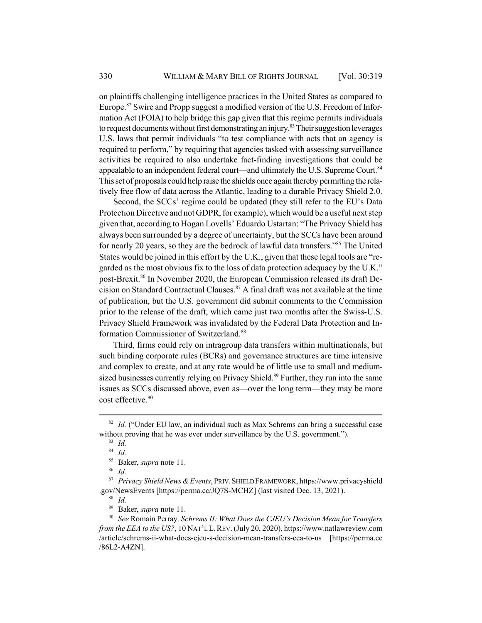on plaintiffs challenging intelligence practices in the United States as compared to Europe.<sup>82</sup> Swire and Propp suggest a modified version of the U.S. Freedom of Information Act (FOIA) to help bridge this gap given that this regime permits individuals to request documents without first demonstrating an injury.<sup>83</sup> Their suggestion leverages U.S. laws that permit individuals "to test compliance with acts that an agency is required to perform," by requiring that agencies tasked with assessing surveillance activities be required to also undertake fact-finding investigations that could be appealable to an independent federal court—and ultimately the U.S. Supreme Court. $84$ This set of proposals could help raise the shields once again thereby permitting the relatively free flow of data across the Atlantic, leading to a durable Privacy Shield 2.0.

Second, the SCCs' regime could be updated (they still refer to the EU's Data Protection Directive and not GDPR, for example), which would be a useful next step given that, according to Hogan Lovells' Eduardo Ustartan: "The Privacy Shield has always been surrounded by a degree of uncertainty, but the SCCs have been around for nearly 20 years, so they are the bedrock of lawful data transfers."<sup>85</sup> The United States would be joined in this effort by the U.K., given that these legal tools are "regarded as the most obvious fix to the loss of data protection adequacy by the U.K." post-Brexit.<sup>86</sup> In November 2020, the European Commission released its draft Decision on Standard Contractual Clauses.87 A final draft was not available at the time of publication, but the U.S. government did submit comments to the Commission prior to the release of the draft, which came just two months after the Swiss-U.S. Privacy Shield Framework was invalidated by the Federal Data Protection and Information Commissioner of Switzerland.<sup>88</sup>

Third, firms could rely on intragroup data transfers within multinationals, but such binding corporate rules (BCRs) and governance structures are time intensive and complex to create, and at any rate would be of little use to small and mediumsized businesses currently relying on Privacy Shield.<sup>89</sup> Further, they run into the same issues as SCCs discussed above, even as—over the long term—they may be more cost effective.<sup>90</sup>

<sup>86</sup> *Id.*

<sup>88</sup> *Id.*

<sup>&</sup>lt;sup>82</sup> *Id.* ("Under EU law, an individual such as Max Schrems can bring a successful case without proving that he was ever under surveillance by the U.S. government.").

<sup>83</sup> *Id.*

<sup>84</sup> *Id.*

<sup>85</sup> Baker, *supra* note 11.

<sup>87</sup> *Privacy Shield News & Events*, PRIV.SHIELD FRAMEWORK, https://www.privacyshield .gov/NewsEvents [https://perma.cc/JQ7S-MCHZ] (last visited Dec. 13, 2021).

<sup>89</sup> Baker, *supra* note 11.

<sup>90</sup> *See* Romain Perray*, Schrems II: What Does the CJEU's Decision Mean for Transfers from the EEA to the US?*, 10 NAT'L L.REV. (July 20, 2020), https://www.natlawreview.com /article/schrems-ii-what-does-cjeu-s-decision-mean-transfers-eea-to-us [https://perma.cc /86L2-A4ZN].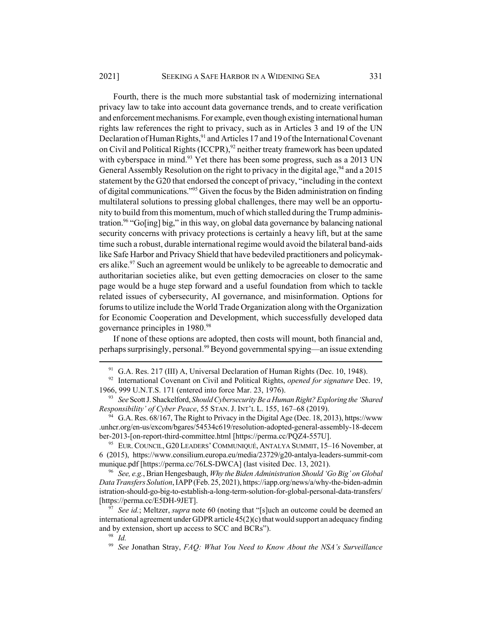Fourth, there is the much more substantial task of modernizing international privacy law to take into account data governance trends, and to create verification and enforcement mechanisms. For example, even though existing international human rights law references the right to privacy, such as in Articles 3 and 19 of the UN Declaration of Human Rights,<sup>91</sup> and Articles 17 and 19 of the International Covenant on Civil and Political Rights (ICCPR),  $92$  neither treaty framework has been updated with cyberspace in mind.<sup>93</sup> Yet there has been some progress, such as a 2013 UN General Assembly Resolution on the right to privacy in the digital age,  $94$  and a 2015 statement by the G20 that endorsed the concept of privacy, "including in the context of digital communications."<sup>95</sup> Given the focus by the Biden administration on finding multilateral solutions to pressing global challenges, there may well be an opportunity to build from this momentum, much of which stalled during the Trump administration.<sup>96</sup> "Go[ing] big," in this way, on global data governance by balancing national security concerns with privacy protections is certainly a heavy lift, but at the same time such a robust, durable international regime would avoid the bilateral band-aids like Safe Harbor and Privacy Shield that have bedeviled practitioners and policymakers alike.<sup>97</sup> Such an agreement would be unlikely to be agreeable to democratic and authoritarian societies alike, but even getting democracies on closer to the same page would be a huge step forward and a useful foundation from which to tackle related issues of cybersecurity, AI governance, and misinformation. Options for forums to utilize include the World Trade Organization along with the Organization for Economic Cooperation and Development, which successfully developed data governance principles in 1980.<sup>98</sup>

If none of these options are adopted, then costs will mount, both financial and, perhaps surprisingly, personal.<sup>99</sup> Beyond governmental spying—an issue extending

 $91$  G.A. Res. 217 (III) A, Universal Declaration of Human Rights (Dec. 10, 1948).

<sup>92</sup> International Covenant on Civil and Political Rights, *opened for signature* Dec. 19, 1966, 999 U.N.T.S. 171 (entered into force Mar. 23, 1976).

<sup>93</sup> *See* Scott J. Shackelford, *Should Cybersecurity Be a Human Right? Exploring the 'Shared Responsibility' of Cyber Peace*, 55 STAN. J. INT'L L. 155, 167–68 (2019).

<sup>&</sup>lt;sup>94</sup> G.A. Res. 68/167, The Right to Privacy in the Digital Age (Dec. 18, 2013), https://www .unhcr.org/en-us/excom/bgares/54534c619/resolution-adopted-general-assembly-18-decem ber-2013-[on-report-third-committee.html [https://perma.cc/PQZ4-557U].

<sup>&</sup>lt;sup>95</sup> EUR. COUNCIL, G20 LEADERS' COMMUNIQUÉ, ANTALYA SUMMIT, 15-16 November, at 6 (2015), https://www.consilium.europa.eu/media/23729/g20-antalya-leaders-summit-com munique.pdf [https://perma.cc/76LS-DWCA] (last visited Dec. 13, 2021).

<sup>96</sup> *See, e.g.*, Brian Hengesbaugh, *Why the Biden Administration Should 'Go Big' on Global Data Transfers Solution*, IAPP (Feb. 25, 2021), https://iapp.org/news/a/why-the-biden-admin istration-should-go-big-to-establish-a-long-term-solution-for-global-personal-data-transfers/ [https://perma.cc/E5DH-9JET].

<sup>97</sup> *See id.*; Meltzer, *supra* note 60 (noting that "[s]uch an outcome could be deemed an international agreement under GDPR article 45(2)(c) that would support an adequacy finding and by extension, short up access to SCC and BCRs").

<sup>98</sup> *Id.*

<sup>99</sup> *See* Jonathan Stray, *FAQ: What You Need to Know About the NSA's Surveillance*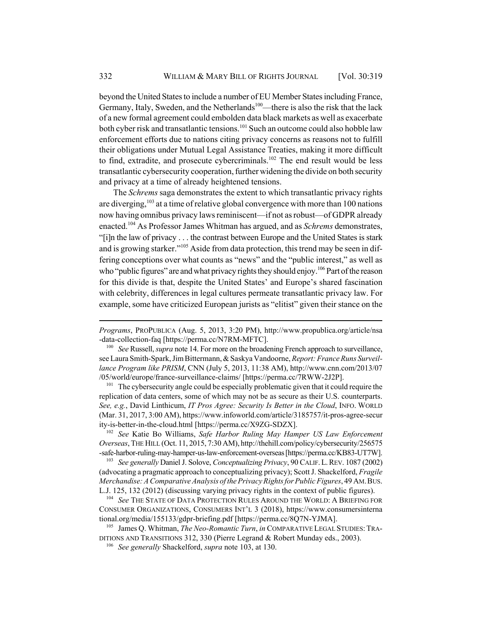beyond the United States to include a number of EU Member States including France, Germany, Italy, Sweden, and the Netherlands<sup>100</sup>—there is also the risk that the lack of a new formal agreement could embolden data black markets as well as exacerbate both cyber risk and transatlantic tensions.<sup>101</sup> Such an outcome could also hobble law enforcement efforts due to nations citing privacy concerns as reasons not to fulfill their obligations under Mutual Legal Assistance Treaties, making it more difficult to find, extradite, and prosecute cybercriminals. $102$  The end result would be less transatlantic cybersecurity cooperation, further widening the divide on both security and privacy at a time of already heightened tensions.

The *Schrems* saga demonstrates the extent to which transatlantic privacy rights are diverging,<sup>103</sup> at a time of relative global convergence with more than 100 nations now having omnibus privacy laws reminiscent—if not as robust—of GDPR already enacted.104 As Professor James Whitman has argued, and as *Schrems* demonstrates, "[i]n the law of privacy . . . the contrast between Europe and the United States is stark and is growing starker."<sup>105</sup> Aside from data protection, this trend may be seen in differing conceptions over what counts as "news" and the "public interest," as well as who "public figures" are and what privacy rights they should enjoy.<sup>106</sup> Part of the reason for this divide is that, despite the United States' and Europe's shared fascination with celebrity, differences in legal cultures permeate transatlantic privacy law. For example, some have criticized European jurists as "elitist" given their stance on the

<sup>101</sup> The cybersecurity angle could be especially problematic given that it could require the replication of data centers, some of which may not be as secure as their U.S. counterparts. *See, e.g.*, David Linthicum, *IT Pros Agree: Security Is Better in the Cloud*, INFO. WORLD (Mar. 31, 2017, 3:00 AM), https://www.infoworld.com/article/3185757/it-pros-agree-secur ity-is-better-in-the-cloud.html [https://perma.cc/X9ZG-SDZX].

<sup>102</sup> *See* Katie Bo Williams, *Safe Harbor Ruling May Hamper US Law Enforcement Overseas*, THE HILL (Oct. 11, 2015, 7:30 AM), http://thehill.com/policy/cybersecurity/256575 -safe-harbor-ruling-may-hamper-us-law-enforcement-overseas [https://perma.cc/KB83-UT7W].

<sup>103</sup> *See generally* Daniel J. Solove, *Conceptualizing Privacy*, 90 CALIF.L.REV. 1087 (2002) (advocating a pragmatic approach to conceptualizing privacy); Scott J. Shackelford, *Fragile Merchandise: A Comparative Analysis of the Privacy Rights for Public Figures*, 49 AM.BUS. L.J. 125, 132 (2012) (discussing varying privacy rights in the context of public figures).

<sup>104</sup> *See* THE STATE OF DATA PROTECTION RULES AROUND THE WORLD: A BRIEFING FOR CONSUMER ORGANIZATIONS, CONSUMERS INT'L 3 (2018), https://www.consumersinterna tional.org/media/155133/gdpr-briefing.pdf [https://perma.cc/8Q7N-YJMA].

<sup>105</sup> James Q. Whitman, *The Neo-Romantic Turn*, *in* COMPARATIVE LEGAL STUDIES:TRA-DITIONS AND TRANSITIONS 312, 330 (Pierre Legrand & Robert Munday eds., 2003).

<sup>106</sup> *See generally* Shackelford, *supra* note 103, at 130.

*Programs*, PROPUBLICA (Aug. 5, 2013, 3:20 PM), http://www.propublica.org/article/nsa -data-collection-faq [https://perma.cc/N7RM-MFTC].

<sup>100</sup> *See* Russell, *supra* note 14. For more on the broadening French approach to surveillance, see Laura Smith-Spark, Jim Bittermann, & Saskya Vandoorne, *Report: France Runs Surveillance Program like PRISM*, CNN (July 5, 2013, 11:38 AM), http://www.cnn.com/2013/07 /05/world/europe/france-surveillance-claims/ [https://perma.cc/7RWW-2J2P].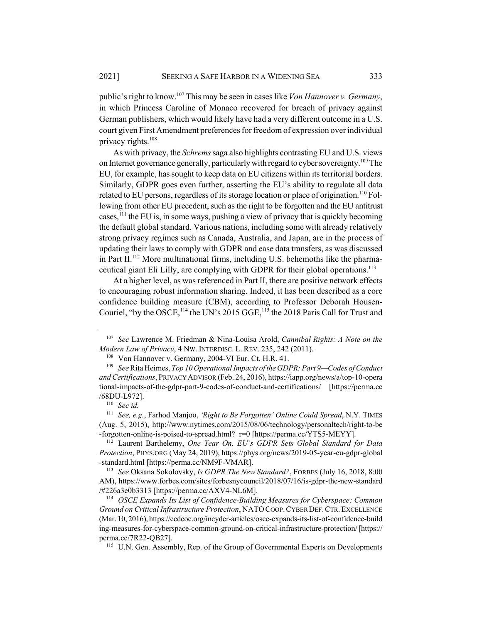public's right to know.107 This may be seen in cases like *Von Hannover v. Germany*, in which Princess Caroline of Monaco recovered for breach of privacy against German publishers, which would likely have had a very different outcome in a U.S. court given First Amendment preferences for freedom of expression over individual privacy rights.108

As with privacy, the *Schrems* saga also highlights contrasting EU and U.S. views on Internet governance generally, particularly with regard to cyber sovereignty.<sup>109</sup> The EU, for example, has sought to keep data on EU citizens within its territorial borders. Similarly, GDPR goes even further, asserting the EU's ability to regulate all data related to EU persons, regardless of its storage location or place of origination.<sup>110</sup> Following from other EU precedent, such as the right to be forgotten and the EU antitrust cases,111 the EU is, in some ways, pushing a view of privacy that is quickly becoming the default global standard. Various nations, including some with already relatively strong privacy regimes such as Canada, Australia, and Japan, are in the process of updating their laws to comply with GDPR and ease data transfers, as was discussed in Part  $II$ <sup>112</sup> More multinational firms, including U.S. behemoths like the pharmaceutical giant Eli Lilly, are complying with GDPR for their global operations.<sup>113</sup>

At a higher level, as was referenced in Part II, there are positive network effects to encouraging robust information sharing. Indeed, it has been described as a core confidence building measure (CBM), according to Professor Deborah Housen-Couriel, "by the OSCE,<sup>114</sup> the UN's 2015 GGE,<sup>115</sup> the 2018 Paris Call for Trust and

<sup>107</sup> *See* Lawrence M. Friedman & Nina-Louisa Arold, *Cannibal Rights: A Note on the Modern Law of Privacy*, 4 NW. INTERDISC. L. REV. 235, 242 (2011).

<sup>&</sup>lt;sup>108</sup> Von Hannover v. Germany, 2004-VI Eur. Ct. H.R. 41.

<sup>109</sup> *See* Rita Heimes, *Top 10 Operational Impacts of the GDPR: Part 9—Codes of Conduct and Certifications*, PRIVACY ADVISOR (Feb. 24, 2016), https://iapp.org/news/a/top-10-opera tional-impacts-of-the-gdpr-part-9-codes-of-conduct-and-certifications/ [https://perma.cc /68DU-L972].

<sup>110</sup> *See id.*

<sup>111</sup> *See, e.g.*, Farhod Manjoo, *'Right to Be Forgotten' Online Could Spread*, N.Y. TIMES (Aug. 5, 2015), http://www.nytimes.com/2015/08/06/technology/personaltech/right-to-be -forgotten-online-is-poised-to-spread.html?\_r=0 [https://perma.cc/YTS5-MEYY].

<sup>112</sup> Laurent Barthelemy, *One Year On, EU's GDPR Sets Global Standard for Data Protection*, PHYS.ORG (May 24, 2019), https://phys.org/news/2019-05-year-eu-gdpr-global -standard.html [https://perma.cc/NM9F-VMAR].

<sup>113</sup> *See* Oksana Sokolovsky, *Is GDPR The New Standard?*, FORBES (July 16, 2018, 8:00 AM), https://www.forbes.com/sites/forbesnycouncil/2018/07/16/is-gdpr-the-new-standard /#226a3e0b3313 [https://perma.cc/AXV4-NL6M].

<sup>114</sup> *OSCE Expands Its List of Confidence-Building Measures for Cyberspace: Common Ground on Critical Infrastructure Protection*, NATOCOOP.CYBER DEF.CTR.EXCELLENCE (Mar. 10, 2016), https://ccdcoe.org/incyder-articles/osce-expands-its-list-of-confidence-build ing-measures-for-cyberspace-common-ground-on-critical-infrastructure-protection/ [https:// perma.cc/7R22-QB27].

<sup>&</sup>lt;sup>115</sup> U.N. Gen. Assembly, Rep. of the Group of Governmental Experts on Developments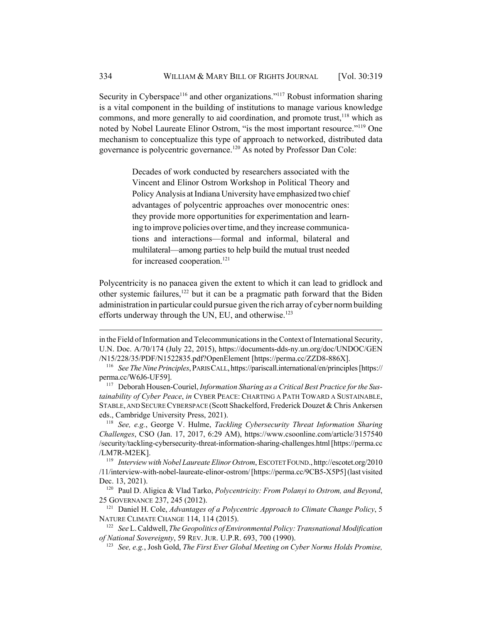Security in Cyberspace<sup>116</sup> and other organizations."<sup>117</sup> Robust information sharing is a vital component in the building of institutions to manage various knowledge commons, and more generally to aid coordination, and promote trust, $118$  which as noted by Nobel Laureate Elinor Ostrom, "is the most important resource."<sup>119</sup> One mechanism to conceptualize this type of approach to networked, distributed data governance is polycentric governance.120 As noted by Professor Dan Cole:

> Decades of work conducted by researchers associated with the Vincent and Elinor Ostrom Workshop in Political Theory and Policy Analysis at Indiana University have emphasized two chief advantages of polycentric approaches over monocentric ones: they provide more opportunities for experimentation and learning to improve policies over time, and they increase communications and interactions—formal and informal, bilateral and multilateral—among parties to help build the mutual trust needed for increased cooperation.<sup>121</sup>

Polycentricity is no panacea given the extent to which it can lead to gridlock and other systemic failures, $122$  but it can be a pragmatic path forward that the Biden administration in particular could pursue given the rich array of cyber norm building efforts underway through the UN, EU, and otherwise.<sup>123</sup>

<sup>118</sup> *See, e.g.*, George V. Hulme, *Tackling Cybersecurity Threat Information Sharing Challenges*, CSO (Jan. 17, 2017, 6:29 AM), https://www.csoonline.com/article/3157540 /security/tackling-cybersecurity-threat-information-sharing-challenges.html [https://perma.cc /LM7R-M2EK].

<sup>119</sup> *Interview with Nobel Laureate Elinor Ostrom*, ESCOTET FOUND., http://escotet.org/2010 /11/interview-with-nobel-laureate-elinor-ostrom/ [https://perma.cc/9CB5-X5P5] (last visited Dec. 13, 2021).

<sup>120</sup> Paul D. Aligica & Vlad Tarko, *Polycentricity: From Polanyi to Ostrom, and Beyond*, 25 GOVERNANCE 237, 245 (2012).

<sup>121</sup> Daniel H. Cole, *Advantages of a Polycentric Approach to Climate Change Policy*, 5 NATURE CLIMATE CHANGE 114, 114 (2015).

in the Field of Information and Telecommunications in the Context of International Security, U.N. Doc. A/70/174 (July 22, 2015), https://documents-dds-ny.un.org/doc/UNDOC/GEN /N15/228/35/PDF/N1522835.pdf?OpenElement [https://perma.cc/ZZD8-886X].

<sup>116</sup> *See The Nine Principles*, PARIS CALL, https://pariscall.international/en/principles [https:// perma.cc/W6J6-UF59].

<sup>117</sup> Deborah Housen-Couriel, *Information Sharing as a Critical Best Practice for the Sustainability of Cyber Peace*, *in* CYBER PEACE: CHARTING A PATH TOWARD A SUSTAINABLE, STABLE, AND SECURE CYBERSPACE (Scott Shackelford, Frederick Douzet & Chris Ankersen eds., Cambridge University Press, 2021).

<sup>122</sup> *See* L. Caldwell, *The Geopolitics of Environmental Policy: Transnational Modification of National Sovereignty*, 59 REV. JUR. U.P.R. 693, 700 (1990).

<sup>123</sup> *See, e.g.*, Josh Gold, *The First Ever Global Meeting on Cyber Norms Holds Promise,*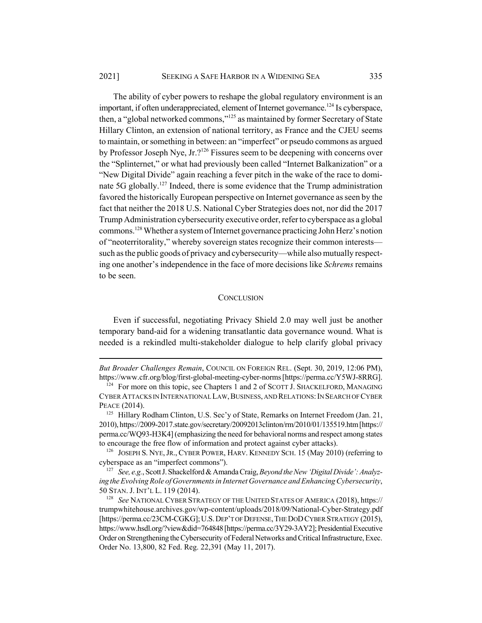The ability of cyber powers to reshape the global regulatory environment is an important, if often underappreciated, element of Internet governance.<sup>124</sup> Is cyberspace, then, a "global networked commons,"125 as maintained by former Secretary of State Hillary Clinton, an extension of national territory, as France and the CJEU seems to maintain, or something in between: an "imperfect" or pseudo commons as argued by Professor Joseph Nye, Jr.?<sup>126</sup> Fissures seem to be deepening with concerns over the "Splinternet," or what had previously been called "Internet Balkanization" or a "New Digital Divide" again reaching a fever pitch in the wake of the race to dominate 5G globally.127 Indeed, there is some evidence that the Trump administration favored the historically European perspective on Internet governance as seen by the fact that neither the 2018 U.S. National Cyber Strategies does not, nor did the 2017 Trump Administration cybersecurity executive order, refer to cyberspace as a global commons.128 Whether a system of Internet governance practicing John Herz's notion of "neoterritorality," whereby sovereign states recognize their common interests such as the public goods of privacy and cybersecurity—while also mutually respecting one another's independence in the face of more decisions like *Schrems* remains to be seen.

### **CONCLUSION**

Even if successful, negotiating Privacy Shield 2.0 may well just be another temporary band-aid for a widening transatlantic data governance wound. What is needed is a rekindled multi-stakeholder dialogue to help clarify global privacy

*But Broader Challenges Remain*, COUNCIL ON FOREIGN REL. (Sept. 30, 2019, 12:06 PM), https://www.cfr.org/blog/first-global-meeting-cyber-norms [https://perma.cc/Y5WJ-8RRG].

<sup>&</sup>lt;sup>124</sup> For more on this topic, see Chapters 1 and 2 of SCOTT J. SHACKELFORD, MANAGING CYBER ATTACKS IN INTERNATIONAL LAW,BUSINESS, AND RELATIONS:IN SEARCH OF CYBER PEACE (2014).

<sup>&</sup>lt;sup>125</sup> Hillary Rodham Clinton, U.S. Sec'y of State, Remarks on Internet Freedom (Jan. 21, 2010), https://2009-2017.state.gov/secretary/20092013clinton/rm/2010/01/135519.htm [https:// perma.cc/WQ93-H3K4] (emphasizing the need for behavioral norms and respect among states to encourage the free flow of information and protect against cyber attacks).

<sup>&</sup>lt;sup>126</sup> JOSEPH S. NYE, JR., CYBER POWER, HARV. KENNEDY SCH. 15 (May 2010) (referring to cyberspace as an "imperfect commons").

<sup>127</sup> *See, e.g.*, Scott J. Shackelford & Amanda Craig, *Beyond the New 'Digital Divide': Analyzing the Evolving Role of Governments in Internet Governance and Enhancing Cybersecurity*, 50 STAN. J. INT'L L. 119 (2014).

<sup>128</sup> *See* NATIONAL CYBER STRATEGY OF THE UNITED STATES OF AMERICA (2018), https:// trumpwhitehouse.archives.gov/wp-content/uploads/2018/09/National-Cyber-Strategy.pdf [https://perma.cc/23CM-CGKG]; U.S. DEP'T OF DEFENSE, THE DOD CYBER STRATEGY (2015), https://www.hsdl.org/?view&did=764848 [https://perma.cc/3Y29-3AY2]; Presidential Executive Order on Strengthening the Cybersecurity of Federal Networks and Critical Infrastructure, Exec. Order No. 13,800, 82 Fed. Reg. 22,391 (May 11, 2017).